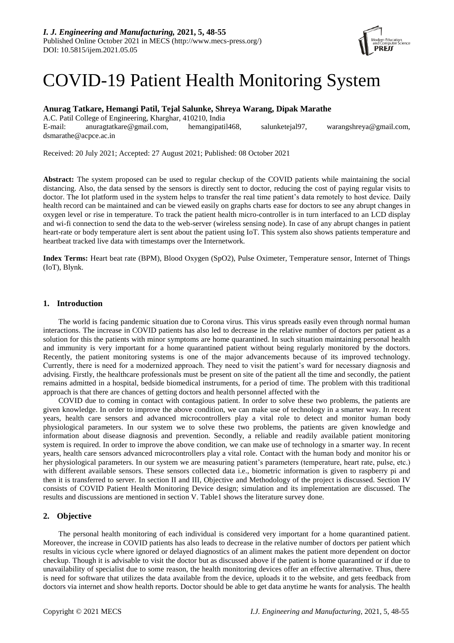

# COVID-19 Patient Health Monitoring System

# **Anurag Tatkare, Hemangi Patil, Tejal Salunke, Shreya Warang, Dipak Marathe**

A.C. Patil College of Engineering, Kharghar, 410210, India E-mail: anuragtatkare@gmail.com, hemangipatil468, salunketejal97, warangshreya@gmail.com, dsmarathe@acpce.ac.in

Received: 20 July 2021; Accepted: 27 August 2021; Published: 08 October 2021

**Abstract:** The system proposed can be used to regular checkup of the COVID patients while maintaining the social distancing. Also, the data sensed by the sensors is directly sent to doctor, reducing the cost of paying regular visits to doctor. The Iot platform used in the system helps to transfer the real time patient's data remotely to host device. Daily health record can be maintained and can be viewed easily on graphs charts ease for doctors to see any abrupt changes in oxygen level or rise in temperature. To track the patient health micro-controller is in turn interfaced to an LCD display and wi-fi connection to send the data to the web-server (wireless sensing node). In case of any abrupt changes in patient heart-rate or body temperature alert is sent about the patient using IoT. This system also shows patients temperature and heartbeat tracked live data with timestamps over the Internetwork.

**Index Terms:** Heart beat rate (BPM), Blood Oxygen (SpO2), Pulse Oximeter, Temperature sensor, Internet of Things (IoT), Blynk.

## **1. Introduction**

The world is facing pandemic situation due to Corona virus. This virus spreads easily even through normal human interactions. The increase in COVID patients has also led to decrease in the relative number of doctors per patient as a solution for this the patients with minor symptoms are home quarantined. In such situation maintaining personal health and immunity is very important for a home quarantined patient without being regularly monitored by the doctors. Recently, the patient monitoring systems is one of the major advancements because of its improved technology. Currently, there is need for a modernized approach. They need to visit the patient's ward for necessary diagnosis and advising. Firstly, the healthcare professionals must be present on site of the patient all the time and secondly, the patient remains admitted in a hospital, bedside biomedical instruments, for a period of time. The problem with this traditional approach is that there are chances of getting doctors and health personnel affected with the

COVID due to coming in contact with contagious patient. In order to solve these two problems, the patients are given knowledge. In order to improve the above condition, we can make use of technology in a smarter way. In recent years, health care sensors and advanced microcontrollers play a vital role to detect and monitor human body physiological parameters. In our system we to solve these two problems, the patients are given knowledge and information about disease diagnosis and prevention. Secondly, a reliable and readily available patient monitoring system is required. In order to improve the above condition, we can make use of technology in a smarter way. In recent years, health care sensors advanced microcontrollers play a vital role. Contact with the human body and monitor his or her physiological parameters. In our system we are measuring patient's parameters (temperature, heart rate, pulse, etc.) with different available sensors. These sensors collected data i.e., biometric information is given to raspberry pi and then it is transferred to server. In section II and III, Objective and Methodology of the project is discussed. Section IV consists of COVID Patient Health Monitoring Device design; simulation and its implementation are discussed. The results and discussions are mentioned in section V. Table1 shows the literature survey done.

# **2. Objective**

The personal health monitoring of each individual is considered very important for a home quarantined patient. Moreover, the increase in COVID patients has also leads to decrease in the relative number of doctors per patient which results in vicious cycle where ignored or delayed diagnostics of an aliment makes the patient more dependent on doctor checkup. Though it is advisable to visit the doctor but as discussed above if the patient is home quarantined or if due to unavailability of specialist due to some reason, the health monitoring devices offer an effective alternative. Thus, there is need for software that utilizes the data available from the device, uploads it to the website, and gets feedback from doctors via internet and show health reports. Doctor should be able to get data anytime he wants for analysis. The health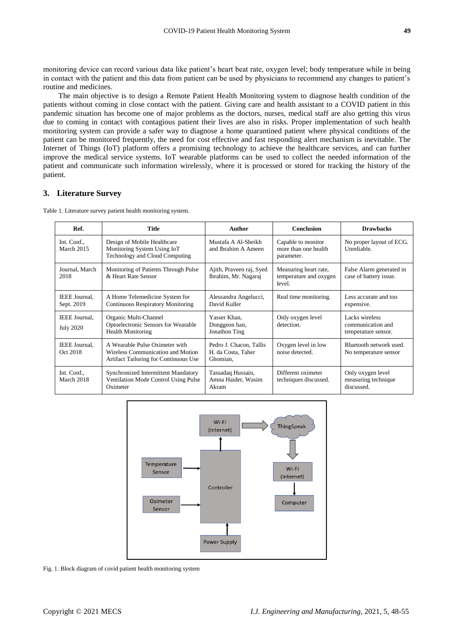monitoring device can record various data like patient's heart beat rate, oxygen level; body temperature while in being in contact with the patient and this data from patient can be used by physicians to recommend any changes to patient's routine and medicines.

The main objective is to design a Remote Patient Health Monitoring system to diagnose health condition of the patients without coming in close contact with the patient. Giving care and health assistant to a COVID patient in this pandemic situation has become one of major problems as the doctors, nurses, medical staff are also getting this virus due to coming in contact with contagious patient their lives are also in risks. Proper implementation of such health monitoring system can provide a safer way to diagnose a home quarantined patient where physical conditions of the patient can be monitored frequently, the need for cost effective and fast responding alert mechanism is inevitable. The Internet of Things (IoT) platform offers a promising technology to achieve the healthcare services, and can further improve the medical service systems. IoT wearable platforms can be used to collect the needed information of the patient and communicate such information wirelessly, where it is processed or stored for tracking the history of the patient.

# **3. Literature Survey**

Table 1. Literature survey patient health monitoring system.

| Ref.                                     | <b>Title</b>                                                                                                 | Author                                                    | Conclusion                                                | <b>Drawbacks</b>                                           |
|------------------------------------------|--------------------------------------------------------------------------------------------------------------|-----------------------------------------------------------|-----------------------------------------------------------|------------------------------------------------------------|
| Int. Conf.,<br>March 2015                | Design of Mobile Healthcare<br>Monitoring System Using IoT<br><b>Technology and Cloud Computing</b>          | Mustafa A Al-Sheikh<br>and Ibrahim A Ameen                | Capable to monitor<br>more than one health<br>parameter.  | No proper layout of ECG.<br>Unreliable.                    |
| Journal, March<br>2018                   | Monitoring of Patients Through Pulse<br>& Heart Rate Sensor                                                  | Ajith, Praveen raj, Syed<br>Ibrahim, Mr. Nagaraj          | Measuring heart rate,<br>temperature and oxygen<br>level. | False Alarm generated in<br>case of battery issue.         |
| <b>IEEE</b> Journal,<br>Sept. 2019       | A Home Telemedicine System for<br><b>Continuous Respiratory Monitoring</b>                                   | Alessandra Angelucci,<br>David Kuller                     | Real time monitoring.                                     | Less accurate and too<br>expensive.                        |
| <b>IEEE</b> Journal.<br><b>July 2020</b> | Organic Multi-Channel<br>Optoelectronic Sensors for Wearable<br><b>Health Monitoring</b>                     | Yasser Khan.<br>Donggeon han,<br>Jonathon Ting            | Only oxygen level<br>detection.                           | Lacks wireless<br>communication and<br>temperature sensor. |
| IEEE Journal,<br>Oct 2018                | A Wearable Pulse Oximeter with<br>Wireless Communication and Motion<br>Artifact Tailoring for Continuous Use | Pedro J. Chacon, Tallis<br>H. da Costa, Taher<br>Ghomian, | Oxygen level in low<br>noise detected.                    | Bluetooth network used.<br>No temperature sensor           |
| Int. Conf<br>March 2018                  | <b>Synchronized Intermittent Mandatory</b><br>Ventilation Mode Control Using Pulse<br>Oximeter               | Tassadaq Hussain,<br>Amna Haider, Wasim<br>Akram          | Different oximeter<br>techniques discussed.               | Only oxygen level<br>measuring technique<br>discussed.     |



Fig. 1. Block diagram of covid patient health monitoring system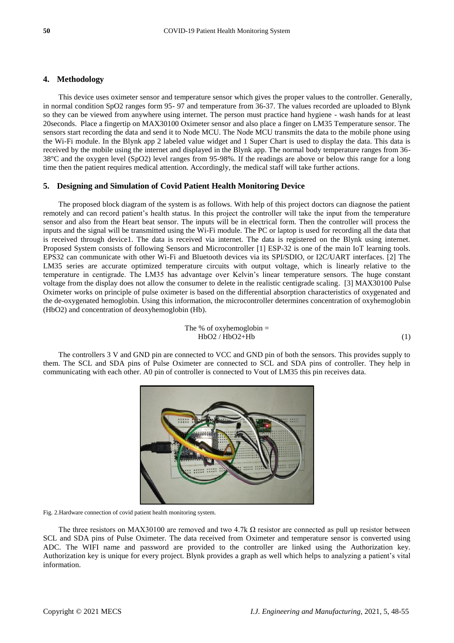### **4. Methodology**

This device uses oximeter sensor and temperature sensor which gives the proper values to the controller. Generally, in normal condition SpO2 ranges form 95- 97 and temperature from 36-37. The values recorded are uploaded to Blynk so they can be viewed from anywhere using internet. The person must practice hand hygiene - wash hands for at least 20seconds. Place a fingertip on MAX30100 Oximeter sensor and also place a finger on LM35 Temperature sensor. The sensors start recording the data and send it to Node MCU. The Node MCU transmits the data to the mobile phone using the Wi-Fi module. In the Blynk app 2 labeled value widget and 1 Super Chart is used to display the data. This data is received by the mobile using the internet and displayed in the Blynk app. The normal body temperature ranges from 36- 38°C and the oxygen level (SpO2) level ranges from 95-98%. If the readings are above or below this range for a long time then the patient requires medical attention. Accordingly, the medical staff will take further actions.

### **5. Designing and Simulation of Covid Patient Health Monitoring Device**

The proposed block diagram of the system is as follows. With help of this project doctors can diagnose the patient remotely and can record patient's health status. In this project the controller will take the input from the temperature sensor and also from the Heart beat sensor. The inputs will be in electrical form. Then the controller will process the inputs and the signal will be transmitted using the Wi-Fi module. The PC or laptop is used for recording all the data that is received through device1. The data is received via internet. The data is registered on the Blynk using internet. Proposed System consists of following Sensors and Microcontroller [1] ESP-32 is one of the main IoT learning tools. EPS32 can communicate with other Wi-Fi and Bluetooth devices via its SPI/SDIO, or I2C/UART interfaces. [2] The LM35 series are accurate optimized temperature circuits with output voltage, which is linearly relative to the temperature in centigrade. The LM35 has advantage over Kelvin's linear temperature sensors. The huge constant voltage from the display does not allow the consumer to delete in the realistic centigrade scaling. [3] MAX30100 Pulse Oximeter works on principle of pulse oximeter is based on the differential absorption characteristics of oxygenated and the de-oxygenated hemoglobin. Using this information, the microcontroller determines concentration of oxyhemoglobin (HbO2) and concentration of deoxyhemoglobin (Hb).

The % of oxygen  
top 
$$
= \text{HbO2} / \text{HbO2+Hb}
$$
 (1)

The controllers 3 V and GND pin are connected to VCC and GND pin of both the sensors. This provides supply to them. The SCL and SDA pins of Pulse Oximeter are connected to SCL and SDA pins of controller. They help in communicating with each other. A0 pin of controller is connected to Vout of LM35 this pin receives data.



Fig. 2.Hardware connection of covid patient health monitoring system.

The three resistors on MAX30100 are removed and two 4.7k  $\Omega$  resistor are connected as pull up resistor between SCL and SDA pins of Pulse Oximeter. The data received from Oximeter and temperature sensor is converted using ADC. The WIFI name and password are provided to the controller are linked using the Authorization key. Authorization key is unique for every project. Blynk provides a graph as well which helps to analyzing a patient's vital information.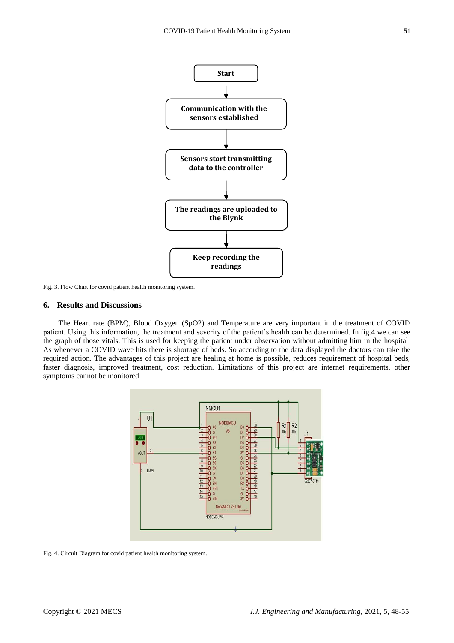

Fig. 3. Flow Chart for covid patient health monitoring system.

#### **6. Results and Discussions**

The Heart rate (BPM), Blood Oxygen (SpO2) and Temperature are very important in the treatment of COVID patient. Using this information, the treatment and severity of the patient's health can be determined. In fig.4 we can see the graph of those vitals. This is used for keeping the patient under observation without admitting him in the hospital. As whenever a COVID wave hits there is shortage of beds. So according to the data displayed the doctors can take the required action. The advantages of this project are healing at home is possible, reduces requirement of hospital beds, faster diagnosis, improved treatment, cost reduction. Limitations of this project are internet requirements, other symptoms cannot be monitored



Fig. 4. Circuit Diagram for covid patient health monitoring system.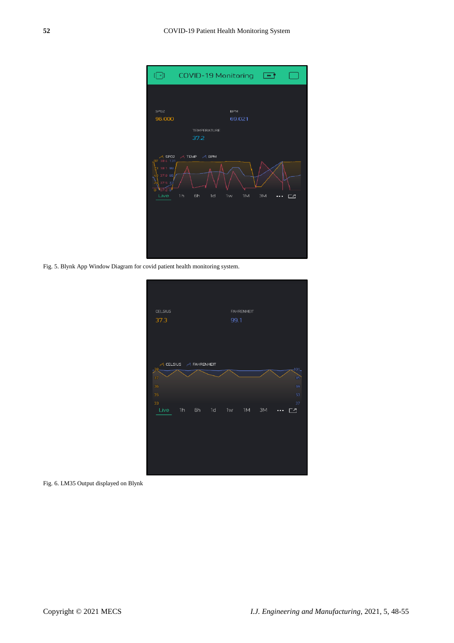| COVID-19 Monitoring<br>(  မျ                                     |  |
|------------------------------------------------------------------|--|
|                                                                  |  |
| SP02<br><b>BPM</b>                                               |  |
| 96.000<br>69.021                                                 |  |
| TEMPERATURE                                                      |  |
| 37.2                                                             |  |
|                                                                  |  |
| AN TEMP<br>AN BPM<br>M SPO2<br>88.4 131                          |  |
| 38.1.99<br>37.B 66                                               |  |
| ō<br>$-37-2-0$<br>1h<br>6h<br>1d<br>1M<br>3M<br>Live<br>1w<br>⊏₫ |  |
|                                                                  |  |
|                                                                  |  |
|                                                                  |  |
|                                                                  |  |
|                                                                  |  |

Fig. 5. Blynk App Window Diagram for covid patient health monitoring system.

| 36<br>35<br>33      | 37                             |                   |
|---------------------|--------------------------------|-------------------|
| Live                | 37.3<br>M CELSIUS M FAHRENHEIT | CELSIUS           |
| 1h                  |                                |                   |
| 6h —                |                                |                   |
|                     |                                |                   |
| 1d 1w 1M 3M         | 99.1                           |                   |
|                     |                                | <b>FAHRENHEIT</b> |
|                     |                                |                   |
| $\cdots$            |                                |                   |
| 69<br>53<br>37<br>ロ | $-101$<br>85                   |                   |
|                     |                                |                   |

Fig. 6. LM35 Output displayed on Blynk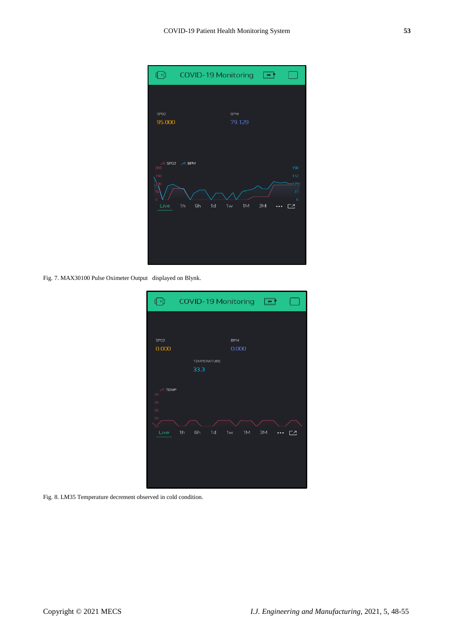| (  ←])                                     | COVID-19 Monitoring [F]                |    |                                     |
|--------------------------------------------|----------------------------------------|----|-------------------------------------|
|                                            |                                        |    |                                     |
| SP <sub>O2</sub><br>95.000                 | <b>BPM</b><br>79.129                   |    |                                     |
|                                            |                                        |    |                                     |
| M SP02<br>200                              | $M$ BPM                                |    | 150                                 |
| 150<br>$\Delta$ 00<br>50<br>$\overline{0}$ |                                        |    | 112<br>$-75-$<br>37<br>$\mathbf{0}$ |
| Live                                       | 6h<br>1d<br>1h<br>1M<br>1 <sub>w</sub> | 3M | -2                                  |
|                                            |                                        |    |                                     |
|                                            |                                        |    |                                     |

Fig. 7. MAX30100 Pulse Oximeter Output displayed on Blynk.

| u ⊣                            | COVID-19 Monitoring [11]               |    |          |   |
|--------------------------------|----------------------------------------|----|----------|---|
|                                |                                        |    |          |   |
| SP <sub>02</sub><br>0.000      | <b>BPM</b><br>0.000                    |    |          |   |
|                                | TEMPERATURE<br>33.3                    |    |          |   |
| M TEMP<br>39<br>38<br>36<br>35 |                                        |    |          |   |
| ัรธ์<br>Live                   | 1d<br>1h<br>6h<br>1M<br>1 <sub>w</sub> | 3M | $\cdots$ | ビ |
|                                |                                        |    |          |   |

Fig. 8. LM35 Temperature decrement observed in cold condition.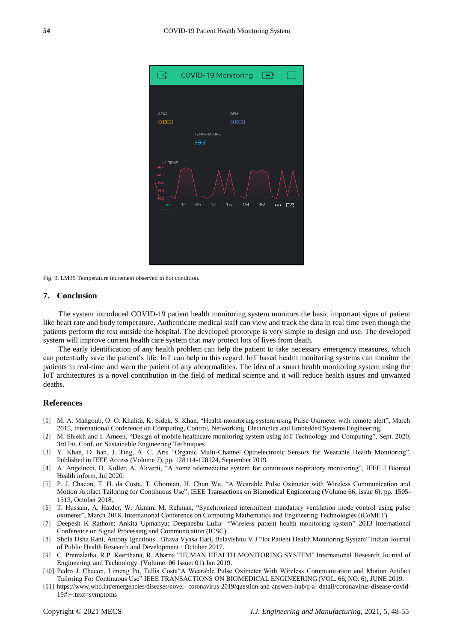

Fig. 9. LM35 Temperature increment observed in hot condition.

#### **7. Conclusion**

The system introduced COVID-19 patient health monitoring system monitors the basic important signs of patient like heart rate and body temperature. Authenticate medical staff can view and track the data in real time even though the patients perform the test outside the hospital. The developed prototype is very simple to design and use. The developed system will improve current health care system that may protect lots of lives from death.

The early identification of any health problem can help the patient to take necessary emergency measures, which can potentially save the patient's life. IoT can help in this regard. IoT based health monitoring systems can monitor the patients in real-time and warn the patient of any abnormalities. The idea of a smart health monitoring system using the IoT architectures is a novel contribution in the field of medical science and it will reduce health issues and unwanted deaths.

#### **References**

- [1] M. A. Mahgoub, O. O. Khalifa, K. Sidek, S. Khan, "Health monitoring system using Pulse Oximeter with remote alert", March 2015, International Conference on Computing, Control, Networking, Electronics and Embedded Systems Engineering.
- [2] M. Shiekh and I. Ameen, "Design of mobile healthcare monitoring system using IoT Technology and Computing", Sept. 2020, 3rd Int. Conf. on Sustainable Engineering Techniques
- [3] Y. Khan, D. han, J. Ting, A. C. Aris "Organic Multi-Channel Optoelectronic Sensors for Wearable Health Monitoring", Published in IEEE Access (Volume 7), pp. 128114-128124, September 2019.
- [4] A. Angelucci, D. Kuller, A. Aliverti, "A home telemedicine system for continuous respiratory monitoring", IEEE J Biomed Health inform, Jul 2020.
- [5] P. J. Chacon, T. H. da Costa, T. Ghomian, H. Chun Wu, "A Wearable Pulse Oximeter with Wireless Communication and Motion Artifact Tailoring for Continuous Use", IEEE Transactions on Biomedical Engineering (Volume 66, issue 6), pp. 1505- 1513, October 2018.
- [6] T. Hussain, A. Haider, W. Akram, M. Rehman, "Synchronized intermittent mandatory ventilation mode control using pulse oximeter", March 2018, International Conference on Computing Mathematics and Engineering Technologies (iCoMET).
- [7] [Deepesh K Rathore; Ankita Upmanyu;](https://ieeexplore.ieee.org/author/38574687100) [Deepanshu](https://ieeexplore.ieee.org/author/38573424800) [Lulla](https://ieeexplore.ieee.org/author/38573424800) "Wireless patient health monitoring system" 2013 [International](https://ieeexplore.ieee.org/xpl/conhome/6709842/proceeding) [Conference](https://ieeexplore.ieee.org/xpl/conhome/6709842/proceeding) on Signal Processing [and Communication](https://ieeexplore.ieee.org/xpl/conhome/6709842/proceeding) (ICSC).
- [8] Shola Usha Rani, Antony Ignatious , Bhava Vyasa Hari, Balavishnu V J "Iot Patient Health Monitoring System" Indian Journal of Public Health Research and Development · October 2017.
- [9] C. Premalatha, R.P. Keerthana, R. Abarna "HUMAN HEALTH MONITORING SYSTEM" International Research Journal of Engineering and Technology. (Volume: 06 Issue: 01) Jan 2019.
- [10] Pedro J. Chacon, Limeng Pu, Tallis Costa"A Wearable Pulse Oximeter With Wireless Communication and Motion Artifact Tailoring For Continuous Use" IEEE TRANSACTIONS ON BIOMEDICAL ENGINEERING (VOL. 66, NO. 6), JUNE 2019.
- [11] [https://www.who.int/emergencies/diseases/novel-](https://www.who.int/emergencies/diseases/novel-coronavirus-2019/question-and-answers-hub/q-a-detail/coronavirus-disease-covid-19#%3A~%3Atext%3Dsymptoms) [coronavirus-2019/question-and-answers-hub/q-a-](https://www.who.int/emergencies/diseases/novel-coronavirus-2019/question-and-answers-hub/q-a-detail/coronavirus-disease-covid-19#%3A~%3Atext%3Dsymptoms) [detail/coronavirus-disease-covid-](https://www.who.int/emergencies/diseases/novel-coronavirus-2019/question-and-answers-hub/q-a-detail/coronavirus-disease-covid-19#%3A~%3Atext%3Dsymptoms)[19#:~:text=symptoms](https://www.who.int/emergencies/diseases/novel-coronavirus-2019/question-and-answers-hub/q-a-detail/coronavirus-disease-covid-19#%3A~%3Atext%3Dsymptoms)